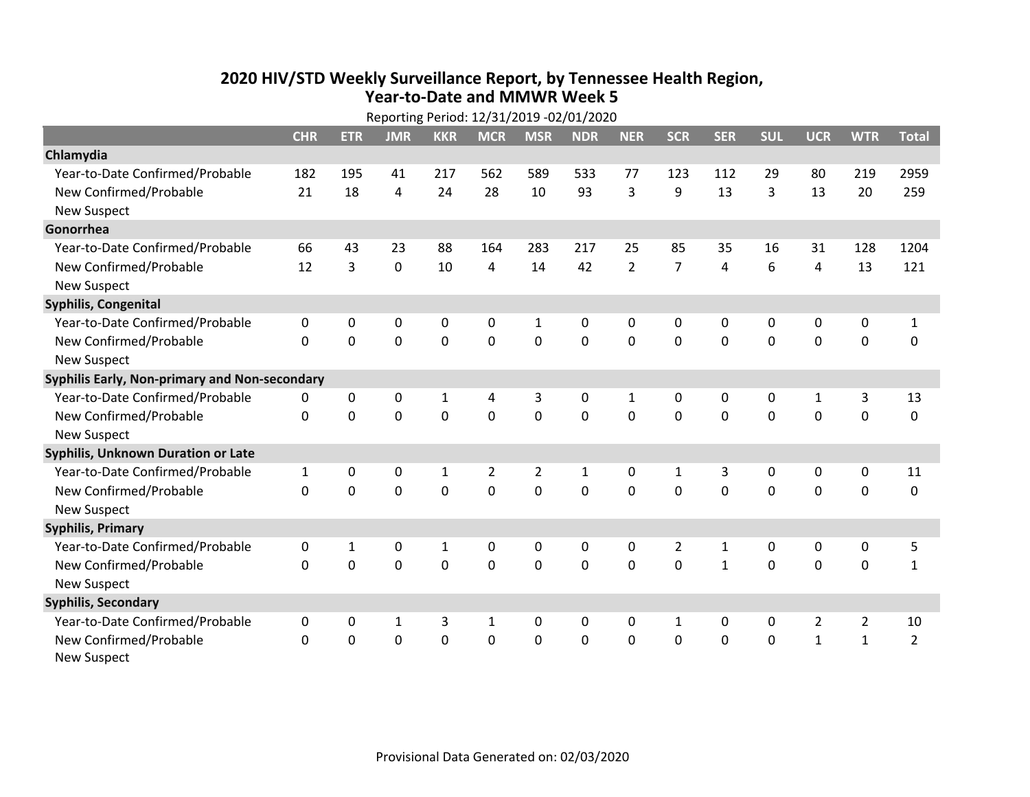## **2020 HIV /STD Weekly Surveillance Report, by Tennessee Health Region, Year‐to‐Date and MMWR Week 5**

|                                               | Reporting Period: 12/31/2019 -02/01/2020 |                |              |              |                |                |             |                |                |                |              |                |                |                |
|-----------------------------------------------|------------------------------------------|----------------|--------------|--------------|----------------|----------------|-------------|----------------|----------------|----------------|--------------|----------------|----------------|----------------|
|                                               | <b>CHR</b>                               | <b>ETR</b>     | <b>JMR</b>   | <b>KKR</b>   | <b>MCR</b>     | <b>MSR</b>     | <b>NDR</b>  | <b>NER</b>     | <b>SCR</b>     | <b>SER</b>     | <b>SUL</b>   | <b>UCR</b>     | <b>WTR</b>     | <b>Total</b>   |
| Chlamydia                                     |                                          |                |              |              |                |                |             |                |                |                |              |                |                |                |
| Year-to-Date Confirmed/Probable               | 182                                      | 195            | 41           | 217          | 562            | 589            | 533         | 77             | 123            | 112            | 29           | 80             | 219            | 2959           |
| New Confirmed/Probable                        | 21                                       | 18             | 4            | 24           | 28             | 10             | 93          | 3              | 9              | 13             | 3            | 13             | 20             | 259            |
| <b>New Suspect</b>                            |                                          |                |              |              |                |                |             |                |                |                |              |                |                |                |
| Gonorrhea                                     |                                          |                |              |              |                |                |             |                |                |                |              |                |                |                |
| Year-to-Date Confirmed/Probable               | 66                                       | 43             | 23           | 88           | 164            | 283            | 217         | 25             | 85             | 35             | 16           | 31             | 128            | 1204           |
| New Confirmed/Probable                        | 12                                       | $\overline{3}$ | $\mathbf 0$  | 10           | 4              | 14             | 42          | $\overline{2}$ | $\overline{7}$ | $\overline{4}$ | 6            | $\overline{4}$ | 13             | 121            |
| <b>New Suspect</b>                            |                                          |                |              |              |                |                |             |                |                |                |              |                |                |                |
| Syphilis, Congenital                          |                                          |                |              |              |                |                |             |                |                |                |              |                |                |                |
| Year-to-Date Confirmed/Probable               | 0                                        | 0              | 0            | 0            | 0              | 1              | 0           | 0              | 0              | $\mathbf{0}$   | $\mathbf{0}$ | 0              | 0              | $\mathbf{1}$   |
| New Confirmed/Probable                        | $\Omega$                                 | $\mathbf 0$    | 0            | 0            | $\mathbf 0$    | $\mathbf 0$    | $\Omega$    | $\Omega$       | $\Omega$       | $\mathbf{0}$   | $\mathbf 0$  | $\mathbf 0$    | $\mathbf 0$    | $\mathbf 0$    |
| <b>New Suspect</b>                            |                                          |                |              |              |                |                |             |                |                |                |              |                |                |                |
| Syphilis Early, Non-primary and Non-secondary |                                          |                |              |              |                |                |             |                |                |                |              |                |                |                |
| Year-to-Date Confirmed/Probable               | 0                                        | 0              | 0            | $\mathbf{1}$ | 4              | 3              | 0           | 1              | 0              | 0              | 0            | 1              | 3              | 13             |
| New Confirmed/Probable                        | $\mathbf{0}$                             | 0              | 0            | 0            | $\mathbf 0$    | $\mathbf 0$    | $\mathbf 0$ | $\Omega$       | $\Omega$       | $\mathbf 0$    | 0            | $\mathbf 0$    | $\mathbf 0$    | 0              |
| <b>New Suspect</b>                            |                                          |                |              |              |                |                |             |                |                |                |              |                |                |                |
| <b>Syphilis, Unknown Duration or Late</b>     |                                          |                |              |              |                |                |             |                |                |                |              |                |                |                |
| Year-to-Date Confirmed/Probable               | $\mathbf{1}$                             | 0              | 0            | $\mathbf 1$  | $\overline{2}$ | $\overline{2}$ | 1           | $\mathbf{0}$   | $\mathbf{1}$   | 3              | 0            | 0              | 0              | 11             |
| New Confirmed/Probable                        | $\Omega$                                 | 0              | $\mathbf 0$  | 0            | 0              | $\mathbf 0$    | $\Omega$    | $\Omega$       | $\Omega$       | $\Omega$       | $\Omega$     | $\Omega$       | $\mathbf 0$    | 0              |
| <b>New Suspect</b>                            |                                          |                |              |              |                |                |             |                |                |                |              |                |                |                |
| <b>Syphilis, Primary</b>                      |                                          |                |              |              |                |                |             |                |                |                |              |                |                |                |
| Year-to-Date Confirmed/Probable               | 0                                        | $\mathbf{1}$   | 0            | $\mathbf 1$  | 0              | 0              | 0           | 0              | $\overline{2}$ | $\mathbf{1}$   | 0            | 0              | $\mathbf 0$    | 5              |
| New Confirmed/Probable                        | $\Omega$                                 | $\overline{0}$ | 0            | 0            | $\mathbf 0$    | $\mathbf 0$    | 0           | $\Omega$       | $\Omega$       | $\mathbf{1}$   | 0            | $\mathbf 0$    | $\mathbf 0$    | $\mathbf{1}$   |
| <b>New Suspect</b>                            |                                          |                |              |              |                |                |             |                |                |                |              |                |                |                |
| <b>Syphilis, Secondary</b>                    |                                          |                |              |              |                |                |             |                |                |                |              |                |                |                |
| Year-to-Date Confirmed/Probable               | 0                                        | 0              | $\mathbf{1}$ | 3            | $\mathbf{1}$   | 0              | 0           | $\mathbf{0}$   | $\mathbf{1}$   | 0              | 0            | $\overline{2}$ | $\overline{2}$ | 10             |
| New Confirmed/Probable                        | $\Omega$                                 | 0              | 0            | 0            | 0              | 0              | 0           | 0              | 0              | $\mathbf 0$    | 0            | $\mathbf{1}$   | $\mathbf{1}$   | $\overline{2}$ |
| <b>New Suspect</b>                            |                                          |                |              |              |                |                |             |                |                |                |              |                |                |                |